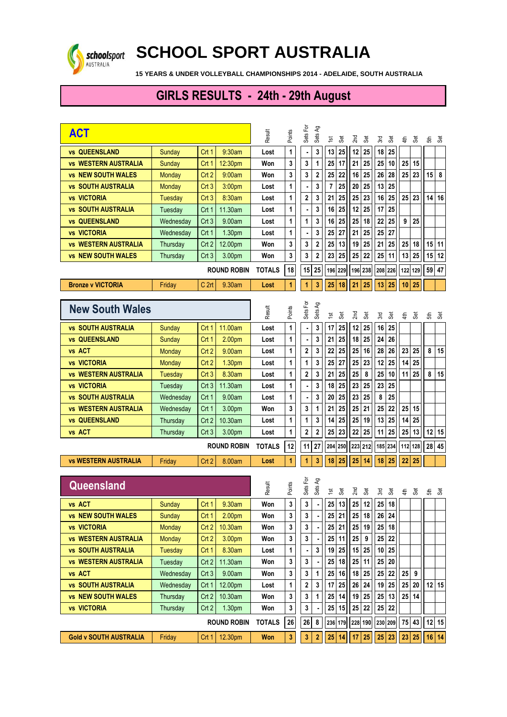

## **SCHOOL SPORT AUSTRALIA**

 **15 YEARS & UNDER VOLLEYBALL CHAMPIONSHIPS 2014 - ADELAIDE, SOUTH AUSTRALIA**

## **GIRLS RESULTS - 24th - 29th August**

| <b>ACT</b>                    |                    |                  |               | Result        | Points  | Sets For<br>Sets Ag | $\frac{1}{2}$<br><b>Set</b> | $2n$ d<br><b>Set</b> | 3rd             | <b>Set</b> | 皂               | 3          | 동       | යි         |
|-------------------------------|--------------------|------------------|---------------|---------------|---------|---------------------|-----------------------------|----------------------|-----------------|------------|-----------------|------------|---------|------------|
| <b>vs QUEENSLAND</b>          | Sunday             | Crt 1            | 9:30am        | Lost          | 1       | 3<br>$\blacksquare$ | 25<br>13                    | 12<br>25             | 18              | 25         |                 |            |         |            |
| <b>vs WESTERN AUSTRALIA</b>   | Sunday             | Crt 1            | 12:30pm       | Won           | 3       | 3<br>1              | 17<br>25                    | 21<br>25             | 25              | 10         | 25              | 15         |         |            |
| <b>vs NEW SOUTH WALES</b>     | <b>Monday</b>      | Crt <sub>2</sub> | 9:00am        | Won           | 3       | 3<br>$\mathbf 2$    | 22<br>25                    | 25<br>16             | 26              | 28         | 25              | 23         | 15      | 8          |
| <b>vs SOUTH AUSTRALIA</b>     | Monday             | Crt <sub>3</sub> | 3:00pm        | Lost          | 1       | 3                   | 25<br>7                     | 25<br>20             | 13              | 25         |                 |            |         |            |
| <b>vs VICTORIA</b>            | Tuesday            | Crt <sub>3</sub> | 8:30am        | Lost          | 1       | 2<br>3              | 25<br>21                    | 23<br>25             | 16              | 25         | 25              | 23         | 14      | 16         |
| <b>vs SOUTH AUSTRALIA</b>     | Tuesday            | Crt 1            | 11.30am       | Lost          | 1       | 3<br>٠              | 25<br>16                    | 25<br>12             | 17              | 25         |                 |            |         |            |
| <b>vs QUEENSLAND</b>          | Wednesday          | Crt3             | 9.00am        | Lost          | 1       | 3<br>1              | 25<br>16                    | 18<br>25             | 22              | 25         | 9               | 25         |         |            |
| <b>vs VICTORIA</b>            | Wednesday          | Crt 1            | 1.30pm        | Lost          | 1       | 3                   | 27<br>25                    | 25<br>21             | 25              | 27         |                 |            |         |            |
| <b>vs WESTERN AUSTRALIA</b>   | Thursday           | Crt 2            | 12.00pm       | Won           | 3       | 3<br>2              | 13<br>25                    | 25<br>19             | 21              | 25         | 25              | 18         | 15      | 11         |
| <b>vs NEW SOUTH WALES</b>     | Thursday           | Crt3             | 3.00pm        | Won           | 3       | 3<br>2              | 25<br>23                    | 22<br>25             | 25              | 11         | 13              | 25         | 15      | 12         |
|                               | <b>ROUND ROBIN</b> |                  |               | <b>TOTALS</b> | 18      | 25<br>15            | 196 229                     | 196<br>238           | 208 226         |            |                 | 122 129    |         | 59 47      |
| <b>Bronze v VICTORIA</b>      | Friday             | C <sub>2rt</sub> | 9.30am        | Lost          | 1       | 3<br>1              | 25<br>18                    | 21<br>25             | 13              | 25         | 10              | 25         |         |            |
|                               |                    |                  |               |               |         |                     |                             |                      |                 |            |                 |            |         |            |
| <b>New South Wales</b>        |                    |                  |               | Result        | Points  | Sets For<br>Sets Ag | <b>Set</b><br>$\frac{1}{2}$ | $2n$ d<br>Set        | 3rd             | 3          | 4 <sup>th</sup> | <b>Set</b> | £       | <b>Set</b> |
| <b>vs SOUTH AUSTRALIA</b>     | Sunday             | Crt 1            | 11.00am       | Lost          | 1       | 3<br>$\blacksquare$ | 25<br>17                    | 12<br>25             | 16              | 25         |                 |            |         |            |
| <b>vs QUEENSLAND</b>          | Sunday             | Crt 1            | 2.00pm        | Lost          | 1       | 3<br>$\blacksquare$ | 25<br>21                    | 18<br>25             | 24              | 26         |                 |            |         |            |
| vs ACT                        | Monday             | Crt 2            | 9.00am        | Lost          | 1       | 2<br>3              | 25<br>22                    | 16<br>25             | 28              | 26         | 23              | 25         | 8       | 15         |
| <b>vs VICTORIA</b>            | <b>Monday</b>      | Crt 2            | 1.30pm        | Lost          | 1       | 3<br>1              | 27<br>25                    | 25<br>23             | 12              | 25         | 14              | 25         |         |            |
| <b>vs WESTERN AUSTRALIA</b>   | Tuesday            | Crt <sub>3</sub> | 8.30am        | Lost          | 1       | 2<br>3              | 25<br>21                    | 25<br>8              | 25              | 10         | 11              | 25         | 8       | 15         |
| <b>vs VICTORIA</b>            | Tuesday            | Crt <sub>3</sub> | 11.30am       | Lost          | 1       | 3                   | 25<br>18                    | 23<br>25             | 23              | 25         |                 |            |         |            |
| <b>vs SOUTH AUSTRALIA</b>     | Wednesday          | Crt 1            | 9.00am        | Lost          | 1       | 3                   | 25<br>20                    | 25<br>23             | 8               | 25         |                 |            |         |            |
| <b>vs WESTERN AUSTRALIA</b>   | Wednesday          | Crt 1            | 3.00pm        | Won           | 3       | 3<br>1              | 25<br>21                    | 25<br>21             | 25              | 22         | 25              | 15         |         |            |
| <b>vs QUEENSLAND</b>          | Thursday           | Crt <sub>2</sub> | 10.30am       | Lost          | 1       | 1<br>3              | 25<br>14                    | 25<br>19             | 13              | 25         | 14              | 25         |         |            |
| vs ACT                        | Thursday           | Crt <sub>3</sub> | 3.00pm        | Lost          | 1       | 2<br>$\overline{2}$ | 23<br>25                    | 25<br>22             | 11              | 25         | 25              | 13         | 12      | 15         |
| <b>ROUND ROBIN</b>            |                    |                  |               | <b>TOTALS</b> | 12      | 27<br>11            | 204<br>250                  | 223<br>212           | 185 234         |            |                 | 112 128    | 28      | 45         |
| <b>vs WESTERN AUSTRALIA</b>   | Friday             | Crt 2            | 8.00am        | Lost          | 1       | 3<br>1              | 25<br>18                    | 25<br>14             | 18              | 25         | 22              | 25         |         |            |
| Queensland                    |                    |                  |               |               |         |                     |                             |                      |                 |            |                 |            |         |            |
|                               |                    |                  |               | Result        | Points  | Sets For<br>Sets Ag | 3<br>15 <sub>1</sub>        | 2 <sub>nd</sub><br>3 | 3r <sub>0</sub> | <b>Set</b> | 44              | 3          | £       | ්මි        |
| vs ACT                        | Sunday             | Crt1             | 9.30am        | Won           | 3       | 3<br>٠              | 25<br>13                    | 25<br>12             | 25              | 18         |                 |            |         |            |
| <b>vs NEW SOUTH WALES</b>     | Sunday             | Crt 1            | 2.00pm        | Won           | 3       | 3                   | 21<br>25                    | 18<br>25             | 26              | 24         |                 |            |         |            |
| <b>vs VICTORIA</b>            | <b>Monday</b>      | Crt <sub>2</sub> | 10.30am       | Won           | 3       | 3                   | 21<br>25                    | 25<br>19             | 25              | 18         |                 |            |         |            |
| <b>vs WESTERN AUSTRALIA</b>   | <b>Monday</b>      | Crt <sub>2</sub> | 3.00pm        | Won           | 3       | 3                   | 25<br>11                    | 25<br>9              | 25              | 22         |                 |            |         |            |
| <b>vs SOUTH AUSTRALIA</b>     | <b>Tuesday</b>     | Crt 1            | 8.30am        | Lost          | 1       | 3                   | 25<br>19                    | 15<br>25             | 10              | 25         |                 |            |         |            |
| <b>vs WESTERN AUSTRALIA</b>   | Tuesday            | Crt <sub>2</sub> | 11.30am       | Won           | 3       | 3                   | 18<br>25                    | 25<br>11             | 25              | 20         |                 |            |         |            |
| vs ACT                        | Wednesday          | Crt3             | 9.00am        | Won           | 3       | 3<br>1              | 16<br>25                    | 25<br>18             | 25              | ${\bf 22}$ | 25              | 9          |         |            |
| <b>vs SOUTH AUSTRALIA</b>     | Wednesday          | Crt 1            | 12.00pm       | Lost          | 1       | 2<br>3              | 25<br>17                    | 24<br>26             | 19              | 25         |                 | $25$ 20    |         | $12$ 15    |
| <b>vs NEW SOUTH WALES</b>     | Thursday           | Crt <sub>2</sub> | 10.30am       | Won           | 3       | 3<br>1              | 14<br>25                    | 25<br>19             | 25              | 13         |                 | 25 14      |         |            |
| <b>vs VICTORIA</b>            | Thursday           | Crt 2            | 1.30pm        | Won           | 3       | 3                   | 25<br>15                    | 25<br>22             | 25              | 22         |                 |            |         |            |
| <b>ROUND ROBIN</b>            |                    |                  | <b>TOTALS</b> | ${\bf 26}$    | 26<br>8 | 236 179             | 228 190                     | 230 209              |                 |            | 75 43           |            | $12$ 15 |            |
| <b>Gold v SOUTH AUSTRALIA</b> | Friday             | Crt 1            | 12.30pm       | <b>Won</b>    | 3       | 3<br>2              | 25<br>14                    | 17<br>25             | 25              | 23         | 23              | 25         |         | 16 14      |